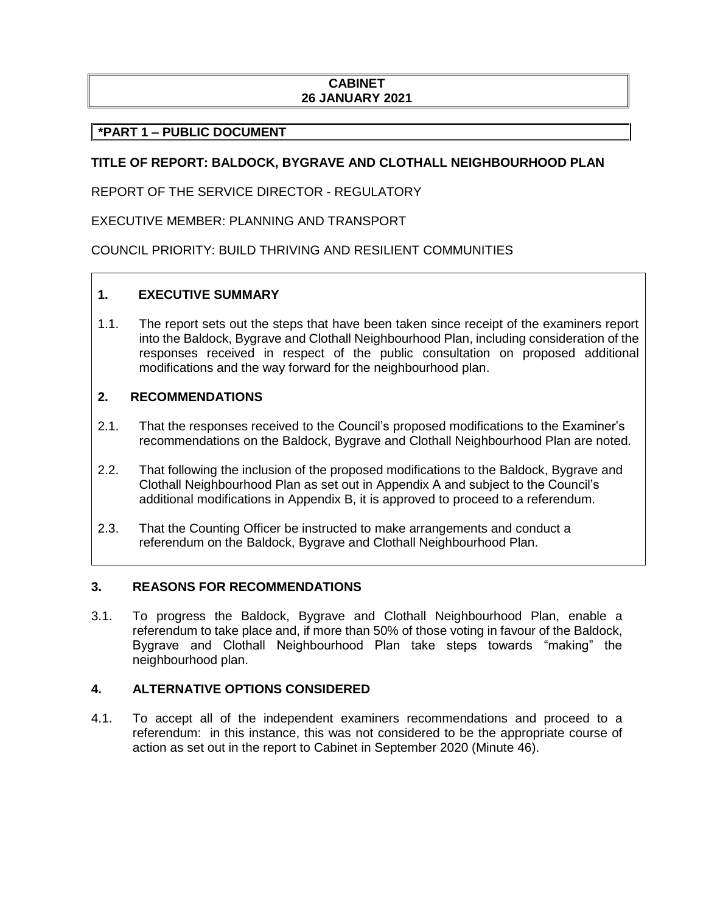# **CABINET 26 JANUARY 2021**

# **\*PART 1 – PUBLIC DOCUMENT**

# **TITLE OF REPORT: BALDOCK, BYGRAVE AND CLOTHALL NEIGHBOURHOOD PLAN**

REPORT OF THE SERVICE DIRECTOR - REGULATORY

EXECUTIVE MEMBER: PLANNING AND TRANSPORT

COUNCIL PRIORITY: BUILD THRIVING AND RESILIENT COMMUNITIES

# **1. EXECUTIVE SUMMARY**

1.1. The report sets out the steps that have been taken since receipt of the examiners report into the Baldock, Bygrave and Clothall Neighbourhood Plan, including consideration of the responses received in respect of the public consultation on proposed additional modifications and the way forward for the neighbourhood plan.

## **2. RECOMMENDATIONS**

- 2.1. That the responses received to the Council's proposed modifications to the Examiner's recommendations on the Baldock, Bygrave and Clothall Neighbourhood Plan are noted.
- 2.2. That following the inclusion of the proposed modifications to the Baldock, Bygrave and Clothall Neighbourhood Plan as set out in Appendix A and subject to the Council's additional modifications in Appendix B, it is approved to proceed to a referendum.
- 2.3. That the Counting Officer be instructed to make arrangements and conduct a referendum on the Baldock, Bygrave and Clothall Neighbourhood Plan.

### **3. REASONS FOR RECOMMENDATIONS**

3.1. To progress the Baldock, Bygrave and Clothall Neighbourhood Plan, enable a referendum to take place and, if more than 50% of those voting in favour of the Baldock, Bygrave and Clothall Neighbourhood Plan take steps towards "making" the neighbourhood plan.

### **4. ALTERNATIVE OPTIONS CONSIDERED**

4.1. To accept all of the independent examiners recommendations and proceed to a referendum: in this instance, this was not considered to be the appropriate course of action as set out in the report to Cabinet in September 2020 (Minute 46).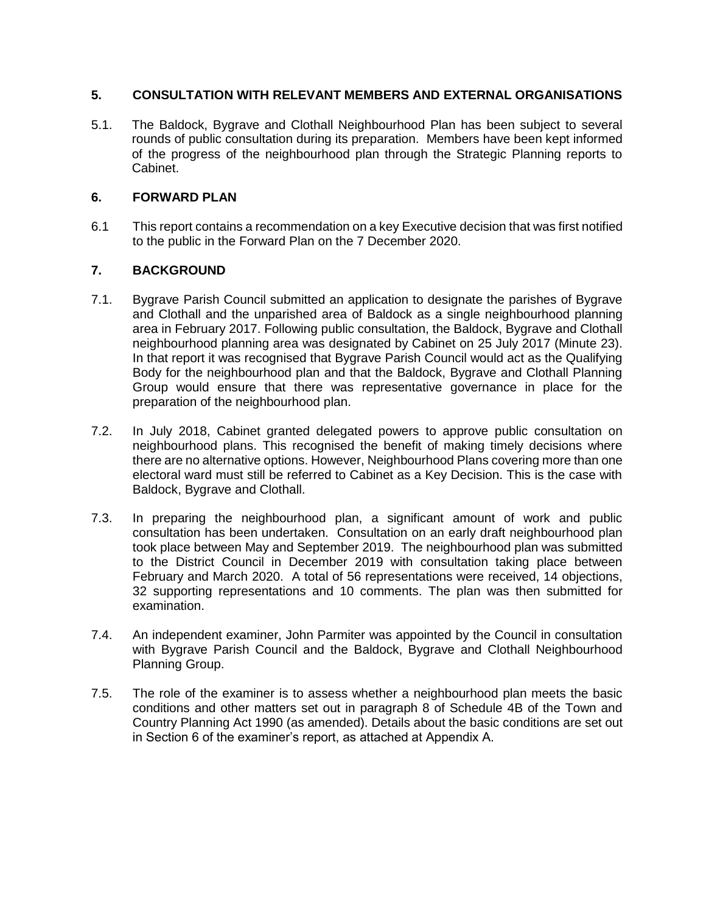# **5. CONSULTATION WITH RELEVANT MEMBERS AND EXTERNAL ORGANISATIONS**

5.1. The Baldock, Bygrave and Clothall Neighbourhood Plan has been subject to several rounds of public consultation during its preparation. Members have been kept informed of the progress of the neighbourhood plan through the Strategic Planning reports to Cabinet.

# **6. FORWARD PLAN**

6.1 This report contains a recommendation on a key Executive decision that was first notified to the public in the Forward Plan on the 7 December 2020.

# **7. BACKGROUND**

- 7.1. Bygrave Parish Council submitted an application to designate the parishes of Bygrave and Clothall and the unparished area of Baldock as a single neighbourhood planning area in February 2017. Following public consultation, the Baldock, Bygrave and Clothall neighbourhood planning area was designated by Cabinet on 25 July 2017 (Minute 23). In that report it was recognised that Bygrave Parish Council would act as the Qualifying Body for the neighbourhood plan and that the Baldock, Bygrave and Clothall Planning Group would ensure that there was representative governance in place for the preparation of the neighbourhood plan.
- 7.2. In July 2018, Cabinet granted delegated powers to approve public consultation on neighbourhood plans. This recognised the benefit of making timely decisions where there are no alternative options. However, Neighbourhood Plans covering more than one electoral ward must still be referred to Cabinet as a Key Decision. This is the case with Baldock, Bygrave and Clothall.
- 7.3. In preparing the neighbourhood plan, a significant amount of work and public consultation has been undertaken. Consultation on an early draft neighbourhood plan took place between May and September 2019. The neighbourhood plan was submitted to the District Council in December 2019 with consultation taking place between February and March 2020. A total of 56 representations were received, 14 objections, 32 supporting representations and 10 comments. The plan was then submitted for examination.
- 7.4. An independent examiner, John Parmiter was appointed by the Council in consultation with Bygrave Parish Council and the Baldock, Bygrave and Clothall Neighbourhood Planning Group.
- 7.5. The role of the examiner is to assess whether a neighbourhood plan meets the basic conditions and other matters set out in paragraph 8 of Schedule 4B of the Town and Country Planning Act 1990 (as amended). Details about the basic conditions are set out in Section 6 of the examiner's report, as attached at Appendix A.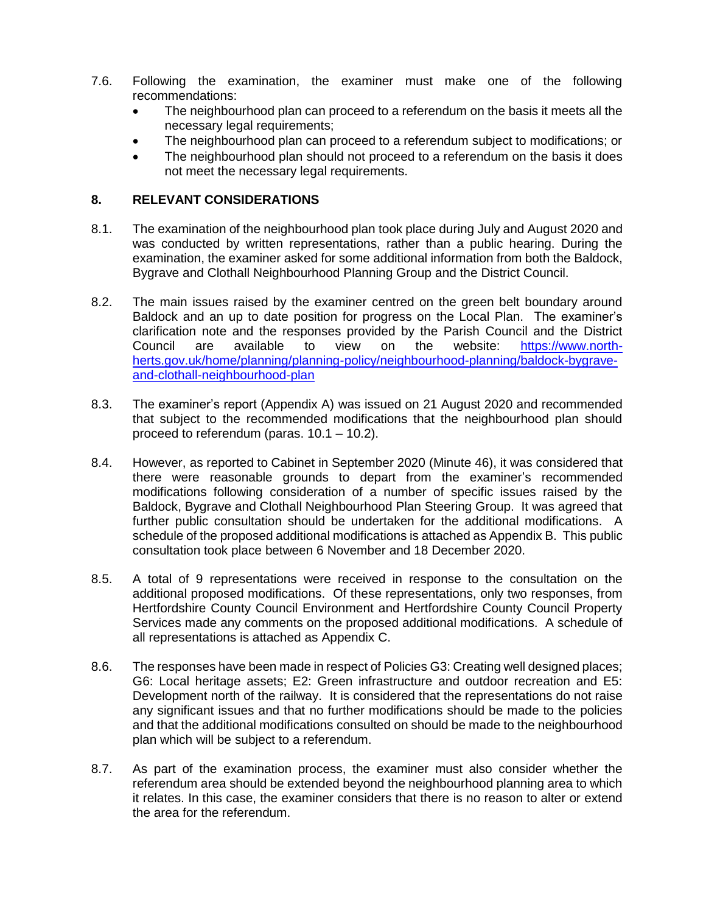- 7.6. Following the examination, the examiner must make one of the following recommendations:
	- The neighbourhood plan can proceed to a referendum on the basis it meets all the necessary legal requirements;
	- The neighbourhood plan can proceed to a referendum subject to modifications; or
	- The neighbourhood plan should not proceed to a referendum on the basis it does not meet the necessary legal requirements.

# **8. RELEVANT CONSIDERATIONS**

- 8.1. The examination of the neighbourhood plan took place during July and August 2020 and was conducted by written representations, rather than a public hearing. During the examination, the examiner asked for some additional information from both the Baldock, Bygrave and Clothall Neighbourhood Planning Group and the District Council.
- 8.2. The main issues raised by the examiner centred on the green belt boundary around Baldock and an up to date position for progress on the Local Plan. The examiner's clarification note and the responses provided by the Parish Council and the District Council are available to view on the website: [https://www.north](https://www.north-herts.gov.uk/home/planning/planning-policy/neighbourhood-planning/baldock-bygrave-and-clothall-neighbourhood-plan)[herts.gov.uk/home/planning/planning-policy/neighbourhood-planning/baldock-bygrave](https://www.north-herts.gov.uk/home/planning/planning-policy/neighbourhood-planning/baldock-bygrave-and-clothall-neighbourhood-plan)[and-clothall-neighbourhood-plan](https://www.north-herts.gov.uk/home/planning/planning-policy/neighbourhood-planning/baldock-bygrave-and-clothall-neighbourhood-plan)
- 8.3. The examiner's report (Appendix A) was issued on 21 August 2020 and recommended that subject to the recommended modifications that the neighbourhood plan should proceed to referendum (paras. 10.1 – 10.2).
- 8.4. However, as reported to Cabinet in September 2020 (Minute 46), it was considered that there were reasonable grounds to depart from the examiner's recommended modifications following consideration of a number of specific issues raised by the Baldock, Bygrave and Clothall Neighbourhood Plan Steering Group. It was agreed that further public consultation should be undertaken for the additional modifications. A schedule of the proposed additional modifications is attached as Appendix B. This public consultation took place between 6 November and 18 December 2020.
- 8.5. A total of 9 representations were received in response to the consultation on the additional proposed modifications. Of these representations, only two responses, from Hertfordshire County Council Environment and Hertfordshire County Council Property Services made any comments on the proposed additional modifications. A schedule of all representations is attached as Appendix C.
- 8.6. The responses have been made in respect of Policies G3: Creating well designed places; G6: Local heritage assets; E2: Green infrastructure and outdoor recreation and E5: Development north of the railway. It is considered that the representations do not raise any significant issues and that no further modifications should be made to the policies and that the additional modifications consulted on should be made to the neighbourhood plan which will be subject to a referendum.
- 8.7. As part of the examination process, the examiner must also consider whether the referendum area should be extended beyond the neighbourhood planning area to which it relates. In this case, the examiner considers that there is no reason to alter or extend the area for the referendum.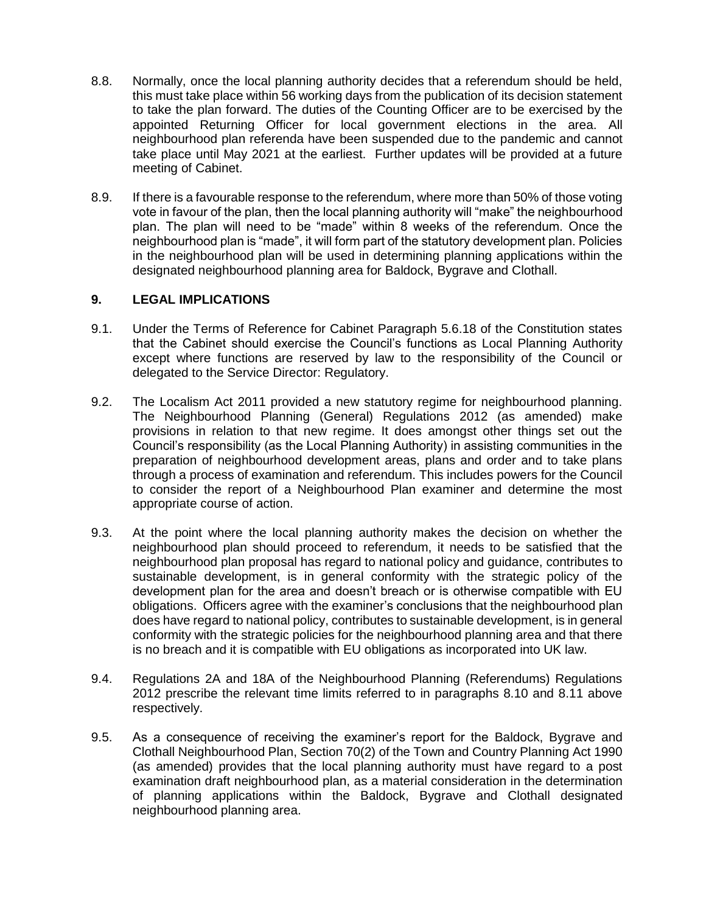- 8.8. Normally, once the local planning authority decides that a referendum should be held, this must take place within 56 working days from the publication of its decision statement to take the plan forward. The duties of the Counting Officer are to be exercised by the appointed Returning Officer for local government elections in the area. All neighbourhood plan referenda have been suspended due to the pandemic and cannot take place until May 2021 at the earliest. Further updates will be provided at a future meeting of Cabinet.
- 8.9. If there is a favourable response to the referendum, where more than 50% of those voting vote in favour of the plan, then the local planning authority will "make" the neighbourhood plan. The plan will need to be "made" within 8 weeks of the referendum. Once the neighbourhood plan is "made", it will form part of the statutory development plan. Policies in the neighbourhood plan will be used in determining planning applications within the designated neighbourhood planning area for Baldock, Bygrave and Clothall.

# **9. LEGAL IMPLICATIONS**

- 9.1. Under the Terms of Reference for Cabinet Paragraph 5.6.18 of the Constitution states that the Cabinet should exercise the Council's functions as Local Planning Authority except where functions are reserved by law to the responsibility of the Council or delegated to the Service Director: Regulatory.
- 9.2. The Localism Act 2011 provided a new statutory regime for neighbourhood planning. The Neighbourhood Planning (General) Regulations 2012 (as amended) make provisions in relation to that new regime. It does amongst other things set out the Council's responsibility (as the Local Planning Authority) in assisting communities in the preparation of neighbourhood development areas, plans and order and to take plans through a process of examination and referendum. This includes powers for the Council to consider the report of a Neighbourhood Plan examiner and determine the most appropriate course of action.
- 9.3. At the point where the local planning authority makes the decision on whether the neighbourhood plan should proceed to referendum, it needs to be satisfied that the neighbourhood plan proposal has regard to national policy and guidance, contributes to sustainable development, is in general conformity with the strategic policy of the development plan for the area and doesn't breach or is otherwise compatible with EU obligations. Officers agree with the examiner's conclusions that the neighbourhood plan does have regard to national policy, contributes to sustainable development, is in general conformity with the strategic policies for the neighbourhood planning area and that there is no breach and it is compatible with EU obligations as incorporated into UK law.
- 9.4. Regulations 2A and 18A of the Neighbourhood Planning (Referendums) Regulations 2012 prescribe the relevant time limits referred to in paragraphs 8.10 and 8.11 above respectively.
- 9.5. As a consequence of receiving the examiner's report for the Baldock, Bygrave and Clothall Neighbourhood Plan, Section 70(2) of the Town and Country Planning Act 1990 (as amended) provides that the local planning authority must have regard to a post examination draft neighbourhood plan, as a material consideration in the determination of planning applications within the Baldock, Bygrave and Clothall designated neighbourhood planning area.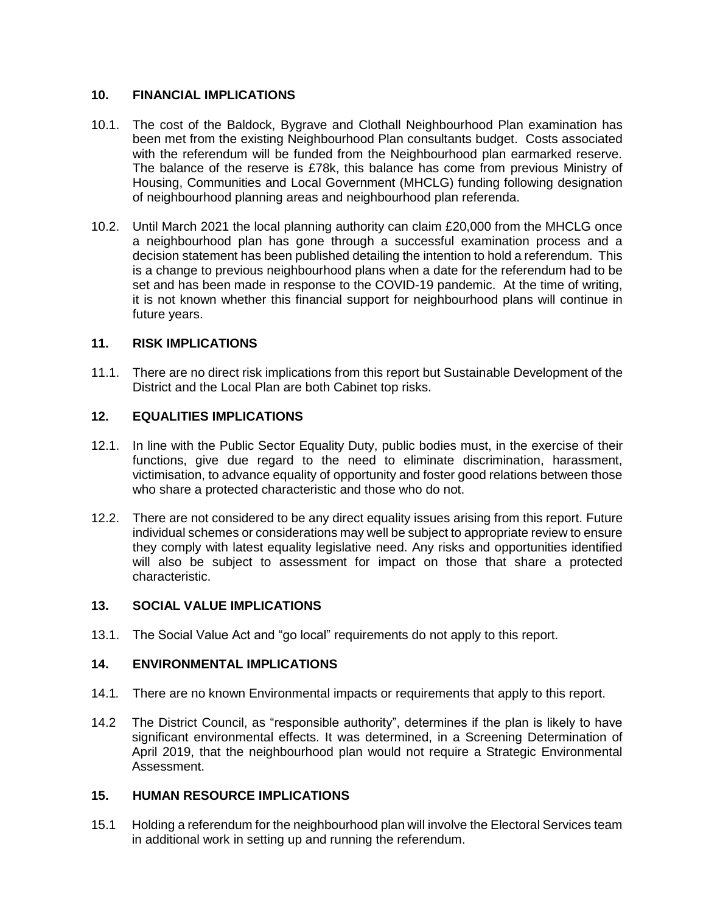# **10. FINANCIAL IMPLICATIONS**

- 10.1. The cost of the Baldock, Bygrave and Clothall Neighbourhood Plan examination has been met from the existing Neighbourhood Plan consultants budget. Costs associated with the referendum will be funded from the Neighbourhood plan earmarked reserve. The balance of the reserve is £78k, this balance has come from previous Ministry of Housing, Communities and Local Government (MHCLG) funding following designation of neighbourhood planning areas and neighbourhood plan referenda.
- 10.2. Until March 2021 the local planning authority can claim £20,000 from the MHCLG once a neighbourhood plan has gone through a successful examination process and a decision statement has been published detailing the intention to hold a referendum. This is a change to previous neighbourhood plans when a date for the referendum had to be set and has been made in response to the COVID-19 pandemic. At the time of writing, it is not known whether this financial support for neighbourhood plans will continue in future years.

## **11. RISK IMPLICATIONS**

11.1. There are no direct risk implications from this report but Sustainable Development of the District and the Local Plan are both Cabinet top risks.

## **12. EQUALITIES IMPLICATIONS**

- 12.1. In line with the Public Sector Equality Duty, public bodies must, in the exercise of their functions, give due regard to the need to eliminate discrimination, harassment, victimisation, to advance equality of opportunity and foster good relations between those who share a protected characteristic and those who do not.
- 12.2. There are not considered to be any direct equality issues arising from this report. Future individual schemes or considerations may well be subject to appropriate review to ensure they comply with latest equality legislative need. Any risks and opportunities identified will also be subject to assessment for impact on those that share a protected characteristic.

### **13. SOCIAL VALUE IMPLICATIONS**

13.1. The Social Value Act and "go local" requirements do not apply to this report.

# **14. ENVIRONMENTAL IMPLICATIONS**

- 14.1*.* There are no known Environmental impacts or requirements that apply to this report.
- 14.2 The District Council, as "responsible authority", determines if the plan is likely to have significant environmental effects. It was determined, in a Screening Determination of April 2019, that the neighbourhood plan would not require a Strategic Environmental Assessment.

### **15. HUMAN RESOURCE IMPLICATIONS**

15.1 Holding a referendum for the neighbourhood plan will involve the Electoral Services team in additional work in setting up and running the referendum.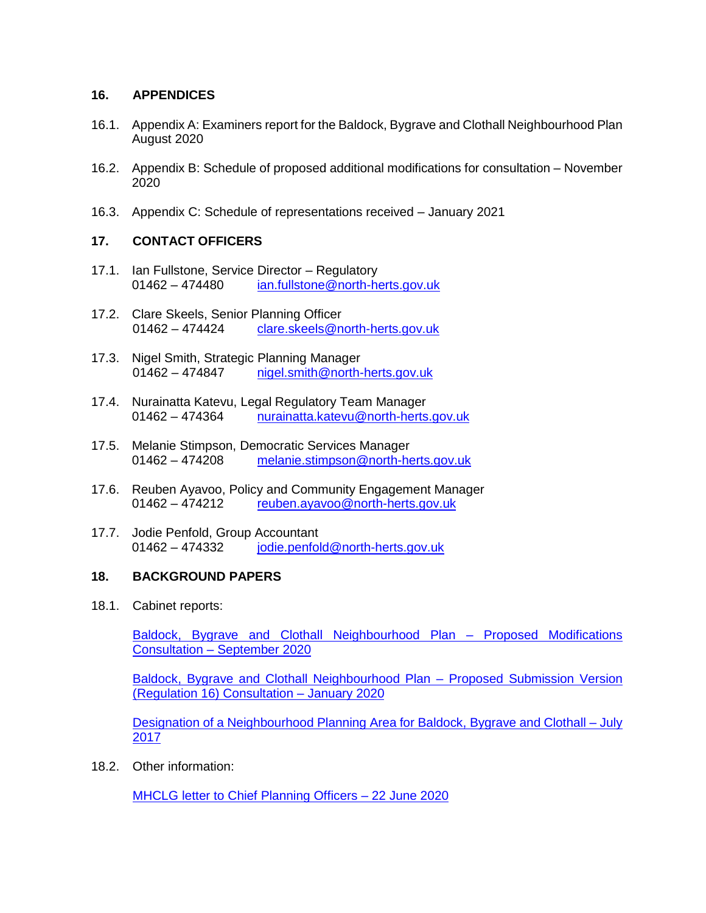## **16. APPENDICES**

- 16.1. Appendix A: Examiners report for the Baldock, Bygrave and Clothall Neighbourhood Plan August 2020
- 16.2. Appendix B: Schedule of proposed additional modifications for consultation November 2020
- 16.3. Appendix C: Schedule of representations received January 2021

# **17. CONTACT OFFICERS**

- 17.1. Ian Fullstone, Service Director Regulatory 01462 – 474480 [ian.fullstone@north-herts.gov.uk](mailto:ian.fullstone@north-herts.gov.uk)
- 17.2. Clare Skeels, Senior Planning Officer 01462 – 474424 [clare.skeels@north-herts.gov.uk](mailto:clare.skeels@north-herts.gov.uk)
- 17.3. Nigel Smith, Strategic Planning Manager 01462 – 474847 [nigel.smith@north-herts.gov.uk](mailto:nigel.smith@north-herts.gov.uk)
- 17.4. Nurainatta Katevu, Legal Regulatory Team Manager 01462 – 474364 [nurainatta.katevu@north-herts.gov.uk](mailto:nurainatta.katevu@north-herts.gov.uk)
- 17.5. Melanie Stimpson, Democratic Services Manager 01462 – 474208 [melanie.stimpson@north-herts.gov.uk](mailto:melanie.stimpson@north-herts.gov.uk)
- 17.6. Reuben Ayavoo, Policy and Community Engagement Manager 01462 – 474212 [reuben.ayavoo@north-herts.gov.uk](mailto:reuben.ayavoo@north-herts.gov.uk)
- 17.7. Jodie Penfold, Group Accountant 01462 – 474332 [jodie.penfold@north-herts.gov.uk](mailto:jodie.penfold@north-herts.gov.uk)

### **18. BACKGROUND PAPERS**

18.1. Cabinet reports:

[Baldock, Bygrave and Clothall Neighbourhood Plan –](https://democracy.north-herts.gov.uk/documents/s12845/Strategic%20Planning%20-%20Addendum.pdf) Proposed Modifications Consultation – [September 2020](https://democracy.north-herts.gov.uk/documents/s12845/Strategic%20Planning%20-%20Addendum.pdf)

[Baldock, Bygrave and Clothall Neighbourhood Plan –](https://democracy.north-herts.gov.uk/documents/s9757/Baldock%20Bygrave%20and%20Clothall%20Neighbourhood%20Plan%20-%20Regulation%2016%20Consultation.pdf) Proposed Submission Version [\(Regulation 16\)](https://democracy.north-herts.gov.uk/documents/s9757/Baldock%20Bygrave%20and%20Clothall%20Neighbourhood%20Plan%20-%20Regulation%2016%20Consultation.pdf) Consultation – January 2020

[Designation of a Neighbourhood Planning Area for Baldock, Bygrave and Clothall –](https://democracy.north-herts.gov.uk/documents/s354/Item%2011%20-%20Designation%20of%20BBC%20NP%20area.pdf) July [2017](https://democracy.north-herts.gov.uk/documents/s354/Item%2011%20-%20Designation%20of%20BBC%20NP%20area.pdf)

18.2. Other information:

[MHCLG letter to Chief Planning Officers –](https://assets.publishing.service.gov.uk/government/uploads/system/uploads/attachment_data/file/923286/200622_2020-21_Chief_Planners_Letter_NP_grant.pdf) 22 June 2020